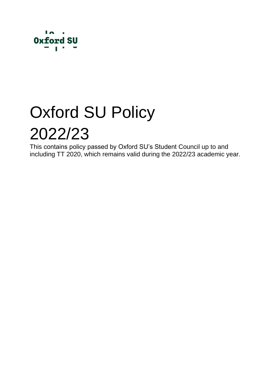

# Oxford SU Policy 2022/23

This contains policy passed by Oxford SU's Student Council up to and including TT 2020, which remains valid during the 2022/23 academic year.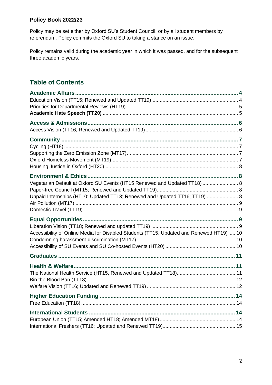#### **Policy Book 2022/23**

Policy may be set either by Oxford SU's Student Council, or by all student members by referendum. Policy commits the Oxford SU to taking a stance on an issue.

Policy remains valid during the academic year in which it was passed, and for the subsequent three academic years.

# **Table of Contents**

| Vegetarian Default at Oxford SU Events (HT15 Renewed and Updated TT18)  8<br>Unpaid Internships (HT10: Updated TT13; Renewed and Updated TT16; TT19)  8 |  |
|---------------------------------------------------------------------------------------------------------------------------------------------------------|--|
| Accessibility of Online Media for Disabled Students (TT15, Updated and Renewed HT19) 10                                                                 |  |
|                                                                                                                                                         |  |
|                                                                                                                                                         |  |
|                                                                                                                                                         |  |
|                                                                                                                                                         |  |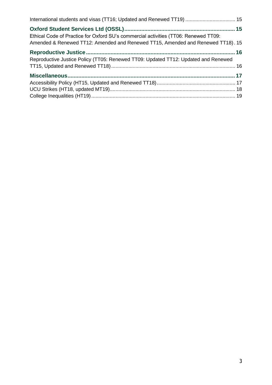| International students and visas (TT16; Updated and Renewed TT19)  15                                                                                                  |  |
|------------------------------------------------------------------------------------------------------------------------------------------------------------------------|--|
| Ethical Code of Practice for Oxford SU's commercial activities (TT06: Renewed TT09:<br>Amended & Renewed TT12: Amended and Renewed TT15, Amended and Renewed TT18). 15 |  |
| Reproductive Justice Policy (TT05: Renewed TT09: Updated TT12: Updated and Renewed                                                                                     |  |
|                                                                                                                                                                        |  |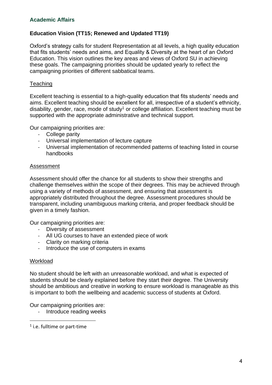## <span id="page-3-1"></span><span id="page-3-0"></span>**Education Vision (TT15; Renewed and Updated TT19)**

Oxford's strategy calls for student Representation at all levels, a high quality education that fits students' needs and aims, and Equality & Diversity at the heart of an Oxford Education. This vision outlines the key areas and views of Oxford SU in achieving these goals. The campaigning priorities should be updated yearly to reflect the campaigning priorities of different sabbatical teams.

#### **Teaching**

Excellent teaching is essential to a high-quality education that fits students' needs and aims. Excellent teaching should be excellent for all, irrespective of a student's ethnicity, disability, gender, race, mode of study<sup>1</sup> or college affiliation. Excellent teaching must be supported with the appropriate administrative and technical support.

Our campaigning priorities are:

- College parity
- Universal implementation of lecture capture
- Universal implementation of recommended patterns of teaching listed in course handbooks

#### Assessment

Assessment should offer the chance for all students to show their strengths and challenge themselves within the scope of their degrees. This may be achieved through using a variety of methods of assessment, and ensuring that assessment is appropriately distributed throughout the degree. Assessment procedures should be transparent, including unambiguous marking criteria, and proper feedback should be given in a timely fashion.

Our campaigning priorities are:

- Diversity of assessment
- All UG courses to have an extended piece of work
- Clarity on marking criteria
- Introduce the use of computers in exams

#### Workload

No student should be left with an unreasonable workload, and what is expected of students should be clearly explained before they start their degree. The University should be ambitious and creative in working to ensure workload is manageable as this is important to both the wellbeing and academic success of students at Oxford.

Our campaigning priorities are:

- Introduce reading weeks

<sup>1</sup> i.e. fulltime or part-time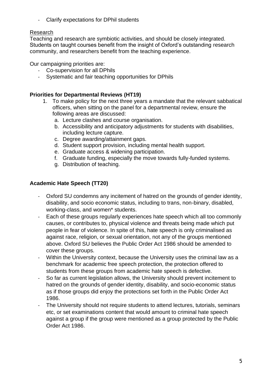Clarify expectations for DPhil students

#### Research

Teaching and research are symbiotic activities, and should be closely integrated. Students on taught courses benefit from the insight of Oxford's outstanding research community, and researchers benefit from the teaching experience.

Our campaigning priorities are:

- Co-supervision for all DPhils
- Systematic and fair teaching opportunities for DPhils

## <span id="page-4-0"></span>**Priorities for Departmental Reviews (HT19)**

- 1. To make policy for the next three years a mandate that the relevant sabbatical officers, when sitting on the panel for a departmental review, ensure the following areas are discussed:
	- a. Lecture clashes and course organisation.
	- b. Accessibility and anticipatory adjustments for students with disabilities, including lecture capture.
	- c. Degree awarding/attainment gaps.
	- d. Student support provision, including mental health support.
	- e. Graduate access & widening participation.
	- f. Graduate funding, especially the move towards fully-funded systems.
	- g. Distribution of teaching.

## <span id="page-4-1"></span>**Academic Hate Speech (TT20)**

- Oxford SU condemns any incitement of hatred on the grounds of gender identity, disability, and socio economic status, including to trans, non-binary, disabled, working-class, and women\* students.
- Each of these groups regularly experiences hate speech which all too commonly causes, or contributes to, physical violence and threats being made which put people in fear of violence. In spite of this, hate speech is only criminalised as against race, religion, or sexual orientation, not any of the groups mentioned above. Oxford SU believes the Public Order Act 1986 should be amended to cover these groups.
- Within the University context, because the University uses the criminal law as a benchmark for academic free speech protection, the protection offered to students from these groups from academic hate speech is defective.
- So far as current legislation allows, the University should prevent incitement to hatred on the grounds of gender identity, disability, and socio-economic status as if those groups did enjoy the protections set forth in the Public Order Act 1986.
- The University should not require students to attend lectures, tutorials, seminars etc, or set examinations content that would amount to criminal hate speech against a group if the group were mentioned as a group protected by the Public Order Act 1986.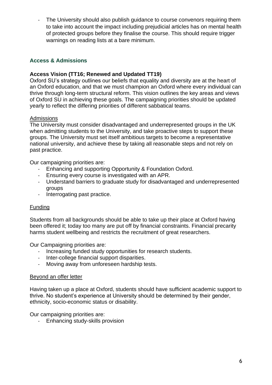The University should also publish guidance to course convenors requiring them to take into account the impact including prejudicial articles has on mental health of protected groups before they finalise the course. This should require trigger warnings on reading lists at a bare minimum.

#### <span id="page-5-0"></span>**Access & Admissions**

#### <span id="page-5-1"></span>**Access Vision (TT16; Renewed and Updated TT19)**

Oxford SU's strategy outlines our beliefs that equality and diversity are at the heart of an Oxford education, and that we must champion an Oxford where every individual can thrive through long-term structural reform. This vision outlines the key areas and views of Oxford SU in achieving these goals. The campaigning priorities should be updated yearly to reflect the differing priorities of different sabbatical teams.

#### **Admissions**

The University must consider disadvantaged and underrepresented groups in the UK when admitting students to the University, and take proactive steps to support these groups. The University must set itself ambitious targets to become a representative national university, and achieve these by taking all reasonable steps and not rely on past practice.

Our campaigning priorities are:

- Enhancing and supporting Opportunity & Foundation Oxford.
- Ensuring every course is investigated with an APR.
- Understand barriers to graduate study for disadvantaged and underrepresented groups
- Interrogating past practice.

## Funding

Students from all backgrounds should be able to take up their place at Oxford having been offered it; today too many are put off by financial constraints. Financial precarity harms student wellbeing and restricts the recruitment of great researchers.

Our Campaigning priorities are:

- Increasing funded study opportunities for research students.
- Inter-college financial support disparities.
- Moving away from unforeseen hardship tests.

#### Beyond an offer letter

Having taken up a place at Oxford, students should have sufficient academic support to thrive. No student's experience at University should be determined by their gender, ethnicity, socio-economic status or disability.

Our campaigning priorities are:

- Enhancing study-skills provision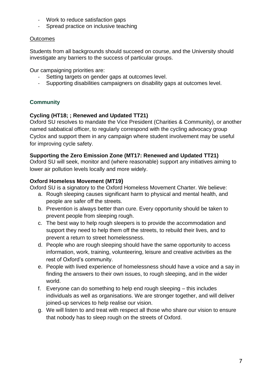- Work to reduce satisfaction gaps
- Spread practice on inclusive teaching

#### **Outcomes**

Students from all backgrounds should succeed on course, and the University should investigate any barriers to the success of particular groups.

Our campaigning priorities are:

- Setting targets on gender gaps at outcomes level.
- Supporting disabilities campaigners on disability gaps at outcomes level.

## <span id="page-6-0"></span>**Community**

## <span id="page-6-1"></span>**Cycling (HT18; ; Renewed and Updated TT21)**

Oxford SU resolves to mandate the Vice President (Charities & Community), or another named sabbatical officer, to regularly correspond with the cycling advocacy group Cyclox and support them in any campaign where student involvement may be useful for improving cycle safety.

#### <span id="page-6-2"></span>**Supporting the Zero Emission Zone (MT17: Renewed and Updated TT21)**

Oxford SU will seek, monitor and (where reasonable) support any initiatives aiming to lower air pollution levels locally and more widely.

#### <span id="page-6-3"></span>**Oxford Homeless Movement (MT19)**

Oxford SU is a signatory to the Oxford Homeless Movement Charter. We believe:

- a. Rough sleeping causes significant harm to physical and mental health, and people are safer off the streets.
- b. Prevention is always better than cure. Every opportunity should be taken to prevent people from sleeping rough.
- c. The best way to help rough sleepers is to provide the accommodation and support they need to help them off the streets, to rebuild their lives, and to prevent a return to street homelessness.
- d. People who are rough sleeping should have the same opportunity to access information, work, training, volunteering, leisure and creative activities as the rest of Oxford's community.
- e. People with lived experience of homelessness should have a voice and a say in finding the answers to their own issues, to rough sleeping, and in the wider world.
- f. Everyone can do something to help end rough sleeping this includes individuals as well as organisations. We are stronger together, and will deliver joined-up services to help realise our vision.
- g. We will listen to and treat with respect all those who share our vision to ensure that nobody has to sleep rough on the streets of Oxford.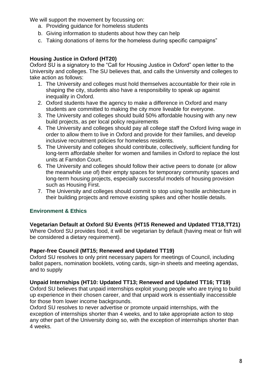We will support the movement by focussing on:

- a. Providing guidance for homeless students
- b. Giving information to students about how they can help
- c. Taking donations of items for the homeless during specific campaigns"

## <span id="page-7-0"></span>**Housing Justice in Oxford (HT20)**

Oxford SU is a signatory to the "Call for Housing Justice in Oxford" open letter to the University and colleges. The SU believes that, and calls the University and colleges to take action as follows:

- 1. The University and colleges must hold themselves accountable for their role in shaping the city, students also have a responsibility to speak up against inequality in Oxford.
- 2. Oxford students have the agency to make a difference in Oxford and many students are committed to making the city more liveable for everyone.
- 3. The University and colleges should build 50% affordable housing with any new build projects, as per local policy requirements
- 4. The University and colleges should pay all college staff the Oxford living wage in order to allow them to live in Oxford and provide for their families, and develop inclusive recruitment policies for homeless residents.
- 5. The University and colleges should contribute, collectively, sufficient funding for long-term affordable shelter for women and families in Oxford to replace the lost units at Farndon Court.
- 6. The University and colleges should follow their active peers to donate (or allow the meanwhile use of) their empty spaces for temporary community spaces and long-term housing projects, especially successful models of housing provision such as Housing First.
- 7. The University and colleges should commit to stop using hostile architecture in their building projects and remove existing spikes and other hostile details.

## <span id="page-7-1"></span>**Environment & Ethics**

#### <span id="page-7-2"></span>**Vegetarian Default at Oxford SU Events (HT15 Renewed and Updated TT18,TT21)**

Where Oxford SU provides food, it will be vegetarian by default (having meat or fish will be considered a dietary requirement).

#### <span id="page-7-3"></span>**Paper-free Council (MT15; Renewed and Updated TT19)**

Oxford SU resolves to only print necessary papers for meetings of Council, including ballot papers, nomination booklets, voting cards, sign-in sheets and meeting agendas, and to supply

#### <span id="page-7-4"></span>**Unpaid Internships (HT10: Updated TT13; Renewed and Updated TT16; TT19)**

Oxford SU believes that unpaid internships exploit young people who are trying to build up experience in their chosen career, and that unpaid work is essentially inaccessible for those from lower income backgrounds.

Oxford SU resolves to never advertise or promote unpaid internships, with the exception of internships shorter than 4 weeks, and to take appropriate action to stop any other part of the University doing so, with the exception of internships shorter than 4 weeks.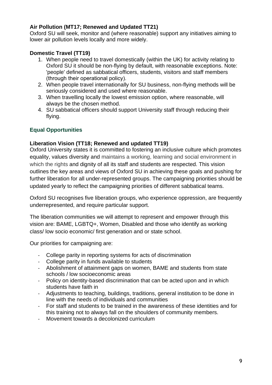## <span id="page-8-0"></span>**Air Pollution (MT17; Renewed and Updated TT21)**

Oxford SU will seek, monitor and (where reasonable) support any initiatives aiming to lower air pollution levels locally and more widely.

#### <span id="page-8-1"></span>**Domestic Travel (TT19)**

- 1. When people need to travel domestically (within the UK) for activity relating to Oxford SU it should be non-flying by default, with reasonable exceptions. Note: 'people' defined as sabbatical officers, students, visitors and staff members (through their operational policy).
- 2. When people travel internationally for SU business, non-flying methods will be seriously considered and used where reasonable.
- 3. When travelling locally the lowest emission option, where reasonable, will always be the chosen method.
- 4. SU sabbatical officers should support University staff through reducing their flying.

#### <span id="page-8-2"></span>**Equal Opportunities**

#### <span id="page-8-3"></span>**Liberation Vision (TT18; Renewed and updated TT19)**

Oxford University states it is committed to fostering an inclusive culture which promotes equality, values diversity and maintains a working, learning and social environment in which the rights and dignity of all its staff and students are respected. This vision outlines the key areas and views of Oxford SU in achieving these goals and pushing for further liberation for all under-represented groups. The campaigning priorities should be updated yearly to reflect the campaigning priorities of different sabbatical teams.

Oxford SU recognises five liberation groups, who experience oppression, are frequently underrepresented, and require particular support.

The liberation communities we will attempt to represent and empower through this vision are: BAME, LGBTQ+, Women, Disabled and those who identify as working class/ low socio economic/ first generation and or state school.

Our priorities for campaigning are:

- College parity in reporting systems for acts of discrimination
- College parity in funds available to students
- Abolishment of attainment gaps on women, BAME and students from state schools / low socioeconomic areas
- Policy on identity-based discrimination that can be acted upon and in which students have faith in
- Adjustments to teaching, buildings, traditions, general institution to be done in line with the needs of individuals and communities
- For staff and students to be trained in the awareness of these identities and for this training not to always fall on the shoulders of community members.
- Movement towards a decolonized curriculum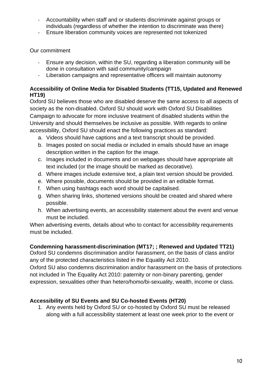- Accountability when staff and or students discriminate against groups or individuals (regardless of whether the intention to discriminate was there)
- Ensure liberation community voices are represented not tokenized

## Our commitment

- Ensure any decision, within the SU, regarding a liberation community will be done in consultation with said community/campaign
- Liberation campaigns and representative officers will maintain autonomy

#### <span id="page-9-0"></span>**Accessibility of Online Media for Disabled Students (TT15, Updated and Renewed HT19)**

Oxford SU believes those who are disabled deserve the same access to all aspects of society as the non-disabled. Oxford SU should work with Oxford SU Disabilities Campaign to advocate for more inclusive treatment of disabled students within the University and should themselves be inclusive as possible. With regards to online accessibility, Oxford SU should enact the following practices as standard:

- a. Videos should have captions and a text transcript should be provided.
- b. Images posted on social media or included in emails should have an image description written in the caption for the image.
- c. Images included in documents and on webpages should have appropriate alt text included (or the image should be marked as decorative).
- d. Where images include extensive text, a plain text version should be provided.
- e. Where possible, documents should be provided in an editable format.
- f. When using hashtags each word should be capitalised.
- g. When sharing links, shortened versions should be created and shared where possible.
- h. When advertising events, an accessibility statement about the event and venue must be included.

When advertising events, details about who to contact for accessibility requirements must be included.

## <span id="page-9-1"></span>**Condemning harassment-discrimination (MT17; ; Renewed and Updated TT21)**

Oxford SU condemns discrimination and/or harassment, on the basis of class and/or any of the protected characteristics listed in the Equality Act 2010.

Oxford SU also condemns discrimination and/or harassment on the basis of protections not included in The Equality Act 2010: paternity or non-binary parenting, gender expression, sexualities other than hetero/homo/bi-sexuality, wealth, income or class.

## <span id="page-9-2"></span>**Accessibility of SU Events and SU Co-hosted Events (HT20)**

1. Any events held by Oxford SU or co-hosted by Oxford SU must be released along with a full accessibility statement at least one week prior to the event or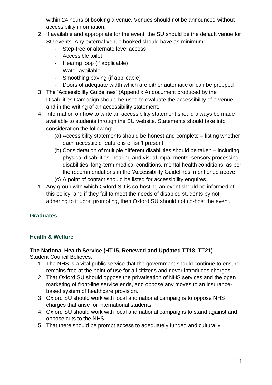within 24 hours of booking a venue. Venues should not be announced without accessibility information.

- 2. If available and appropriate for the event, the SU should be the default venue for SU events. Any external venue booked should have as minimum:
	- Step-free or alternate level access
	- Accessible toilet
	- Hearing loop (if applicable)
	- Water available
	- Smoothing paving (if applicable)
	- Doors of adequate width which are either automatic or can be propped
- 3. The 'Accessibility Guidelines' (Appendix A) document produced by the Disabilities Campaign should be used to evaluate the accessibility of a venue and in the writing of an accessibility statement.
- 4. Information on how to write an accessibility statement should always be made available to students through the SU website. Statements should take into consideration the following:
	- (a) Accessibility statements should be honest and complete listing whether each accessible feature is or isn't present.
	- (b) Consideration of multiple different disabilities should be taken including physical disabilities, hearing and visual impairments, sensory processing disabilities, long-term medical conditions, mental health conditions, as per the recommendations in the 'Accessibility Guidelines' mentioned above.
	- (c) A point of contact should be listed for accessibility enquires.
- 1. Any group with which Oxford SU is co-hosting an event should be informed of this policy, and if they fail to meet the needs of disabled students by not adhering to it upon prompting, then Oxford SU should not co-host the event.

# <span id="page-10-0"></span>**Graduates**

## <span id="page-10-1"></span>**Health & Welfare**

# <span id="page-10-2"></span>**The National Health Service (HT15, Renewed and Updated TT18, TT21)**

Student Council Believes:

- 1. The NHS is a vital public service that the government should continue to ensure remains free at the point of use for all citizens and never introduces charges.
- 2. That Oxford SU should oppose the privatisation of NHS services and the open marketing of front-line service ends, and oppose any moves to an insurancebased system of healthcare provision.
- 3. Oxford SU should work with local and national campaigns to oppose NHS charges that arise for international students.
- 4. Oxford SU should work with local and national campaigns to stand against and oppose cuts to the NHS.
- 5. That there should be prompt access to adequately funded and culturally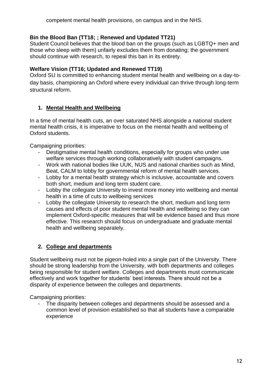## <span id="page-11-0"></span>**Bin the Blood Ban (TT18; ; Renewed and Updated TT21)**

Student Council believes that the blood ban on the groups (such as LGBTQ+ men and those who sleep with them) unfairly excludes them from donating; the government should continue with research, to repeal this ban in its entirety.

## <span id="page-11-1"></span>**Welfare Vision (TT16; Updated and Renewed TT19)**

Oxford SU is committed to enhancing student mental health and wellbeing on a day-today basis, championing an Oxford where every individual can thrive through long-term structural reform.

## **1. Mental Health and Wellbeing**

In a time of mental health cuts, an over saturated NHS alongside a national student mental health crisis, it is imperative to focus on the mental health and wellbeing of Oxford students.

Campaigning priorities:

- Destigmatise mental health conditions, especially for groups who under use welfare services through working collaboratively with student campaigns.
- Work with national bodies like UUK, NUS and national charities such as Mind, Beat, CALM to lobby for governmental reform of mental health services.
- Lobby for a mental health strategy which is inclusive, accountable and covers both short, medium and long term student care.
- Lobby the collegiate University to invest more money into wellbeing and mental health in a time of cuts to wellbeing services
- Lobby the collegiate University to research the short, medium and long term causes and effects of poor student mental health and wellbeing so they can implement Oxford-specific measures that will be evidence based and thus more effective. This research should focus on undergraduate and graduate mental health and wellbeing separately.

# **2. College and departments**

Student wellbeing must not be pigeon-holed into a single part of the University. There should be strong leadership from the University, with both departments and colleges being responsible for student welfare. Colleges and departments must communicate effectively and work together for students' best interests. There should not be a disparity of experience between the colleges and departments.

Campaigning priorities:

The disparity between colleges and departments should be assessed and a common level of provision established so that all students have a comparable experience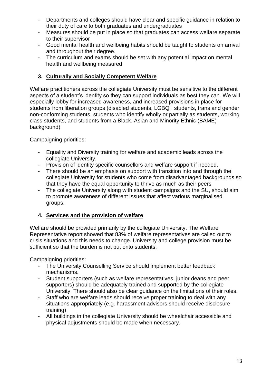- Departments and colleges should have clear and specific guidance in relation to their duty of care to both graduates and undergraduates
- Measures should be put in place so that graduates can access welfare separate to their supervisor
- Good mental health and wellbeing habits should be taught to students on arrival and throughout their degree.
- The curriculum and exams should be set with any potential impact on mental health and wellbeing measured

## **3. Culturally and Socially Competent Welfare**

Welfare practitioners across the collegiate University must be sensitive to the different aspects of a student's identity so they can support individuals as best they can. We will especially lobby for increased awareness, and increased provisions in place for students from liberation groups (disabled students, LGBQ+ students, trans and gender non-conforming students, students who identify wholly or partially as students, working class students, and students from a Black, Asian and Minority Ethnic (BAME) background).

Campaigning priorities:

- Equality and Diversity training for welfare and academic leads across the collegiate University.
- Provision of identity specific counsellors and welfare support if needed.
- There should be an emphasis on support with transition into and through the collegiate University for students who come from disadvantaged backgrounds so that they have the equal opportunity to thrive as much as their peers
- The collegiate University along with student campaigns and the SU, should aim to promote awareness of different issues that affect various marginalised groups.

## **4. Services and the provision of welfare**

Welfare should be provided primarily by the collegiate University. The Welfare Representative report showed that 83% of welfare representatives are called out to crisis situations and this needs to change. University and college provision must be sufficient so that the burden is not put onto students.

Campaigning priorities:

- The University Counselling Service should implement better feedback mechanisms.
- Student supporters (such as welfare representatives, junior deans and peer supporters) should be adequately trained and supported by the collegiate University. There should also be clear guidance on the limitations of their roles.
- Staff who are welfare leads should receive proper training to deal with any situations appropriately (e.g. harassment advisors should receive disclosure training)
- All buildings in the collegiate University should be wheelchair accessible and physical adjustments should be made when necessary.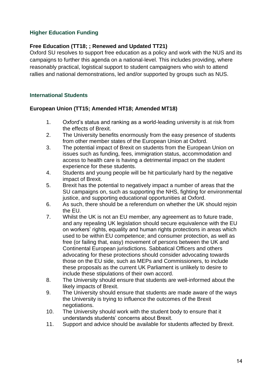#### <span id="page-13-0"></span>**Higher Education Funding**

#### <span id="page-13-1"></span>**Free Education (TT18; ; Renewed and Updated TT21)**

Oxford SU resolves to support free education as a policy and work with the NUS and its campaigns to further this agenda on a national-level. This includes providing, where reasonably practical, logistical support to student campaigners who wish to attend rallies and national demonstrations, led and/or supported by groups such as NUS.

#### <span id="page-13-2"></span>**International Students**

#### <span id="page-13-3"></span>**European Union (TT15; Amended HT18; Amended MT18)**

- 1. Oxford's status and ranking as a world-leading university is at risk from the effects of Brexit.
- 2. The University benefits enormously from the easy presence of students from other member states of the European Union at Oxford.
- 3. The potential impact of Brexit on students from the European Union on issues such as funding, fees, immigration status, accommodation and access to health care is having a detrimental impact on the student experience for these students.
- 4. Students and young people will be hit particularly hard by the negative impact of Brexit.
- 5. Brexit has the potential to negatively impact a number of areas that the SU campaigns on, such as supporting the NHS, fighting for environmental justice, and supporting educational opportunities at Oxford.
- 6. As such, there should be a referendum on whether the UK should rejoin the EU.
- 7. Whilst the UK is not an EU member, any agreement as to future trade, and any repealing UK legislation should secure equivalence with the EU on workers' rights, equality and human rights protections in areas which used to be within EU competence; and consumer protection, as well as free (or failing that, easy) movement of persons between the UK and Continental European jurisdictions. Sabbatical Officers and others advocating for these protections should consider advocating towards those on the EU side, such as MEPs and Commissioners, to include these proposals as the current UK Parliament is unlikely to desire to include these stipulations of their own accord.
- 8. The University should ensure that students are well-informed about the likely impacts of Brexit.
- 9. The University should ensure that students are made aware of the ways the University is trying to influence the outcomes of the Brexit negotiations.
- 10. The University should work with the student body to ensure that it understands students' concerns about Brexit.
- 11. Support and advice should be available for students affected by Brexit.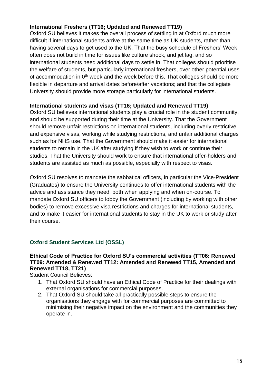## <span id="page-14-0"></span>**International Freshers (TT16; Updated and Renewed TT19)**

Oxford SU believes it makes the overall process of settling in at Oxford much more difficult if international students arrive at the same time as UK students, rather than having several days to get used to the UK. That the busy schedule of Freshers' Week often does not build in time for issues like culture shock, and jet lag, and so international students need additional days to settle in. That colleges should prioritise the welfare of students, but particularly international freshers, over other potential uses of accommodation in  $0<sup>th</sup>$  week and the week before this. That colleges should be more flexible in departure and arrival dates before/after vacations; and that the collegiate University should provide more storage particularly for international students.

#### <span id="page-14-1"></span>**International students and visas (TT16; Updated and Renewed TT19)**

Oxford SU believes international students play a crucial role in the student community, and should be supported during their time at the University. That the Government should remove unfair restrictions on international students, including overly restrictive and expensive visas, working while studying restrictions, and unfair additional charges such as for NHS use. That the Government should make it easier for international students to remain in the UK after studying if they wish to work or continue their studies. That the University should work to ensure that international offer-holders and students are assisted as much as possible, especially with respect to visas.

Oxford SU resolves to mandate the sabbatical officers, in particular the Vice-President (Graduates) to ensure the University continues to offer international students with the advice and assistance they need, both when applying and when on-course. To mandate Oxford SU officers to lobby the Government (including by working with other bodies) to remove excessive visa restrictions and charges for international students, and to make it easier for international students to stay in the UK to work or study after their course.

## <span id="page-14-2"></span>**Oxford Student Services Ltd (OSSL)**

#### <span id="page-14-3"></span>**Ethical Code of Practice for Oxford SU's commercial activities (TT06: Renewed TT09: Amended & Renewed TT12: Amended and Renewed TT15, Amended and Renewed TT18, TT21)**

Student Council Believes:

- 1. That Oxford SU should have an Ethical Code of Practice for their dealings with external organisations for commercial purposes.
- 2. That Oxford SU should take all practically possible steps to ensure the organisations they engage with for commercial purposes are committed to minimising their negative impact on the environment and the communities they operate in.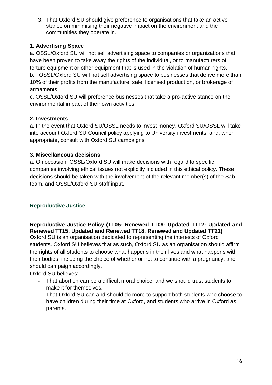3. That Oxford SU should give preference to organisations that take an active stance on minimising their negative impact on the environment and the communities they operate in.

## **1. Advertising Space**

a. OSSL/Oxford SU will not sell advertising space to companies or organizations that have been proven to take away the rights of the individual, or to manufacturers of torture equipment or other equipment that is used in the violation of human rights. b. OSSL/Oxford SU will not sell advertising space to businesses that derive more than 10% of their profits from the manufacture, sale, licensed production, or brokerage of armaments

c. OSSL/Oxford SU will preference businesses that take a pro-active stance on the environmental impact of their own activities

## **2. Investments**

a. In the event that Oxford SU/OSSL needs to invest money, Oxford SU/OSSL will take into account Oxford SU Council policy applying to University investments, and, when appropriate, consult with Oxford SU campaigns.

## **3. Miscellaneous decisions**

a. On occasion, OSSL/Oxford SU will make decisions with regard to specific companies involving ethical issues not explicitly included in this ethical policy. These decisions should be taken with the involvement of the relevant member(s) of the Sab team, and OSSL/Oxford SU staff input.

# <span id="page-15-0"></span>**Reproductive Justice**

<span id="page-15-1"></span>**Reproductive Justice Policy (TT05: Renewed TT09: Updated TT12: Updated and Renewed TT15, Updated and Renewed TT18, Renewed and Updated TT21)** Oxford SU is an organisation dedicated to representing the interests of Oxford students. Oxford SU believes that as such, Oxford SU as an organisation should affirm the rights of all students to choose what happens in their lives and what happens with their bodies, including the choice of whether or not to continue with a pregnancy, and should campaign accordingly.

Oxford SU believes:

- That abortion can be a difficult moral choice, and we should trust students to make it for themselves.
- That Oxford SU can and should do more to support both students who choose to have children during their time at Oxford, and students who arrive in Oxford as parents.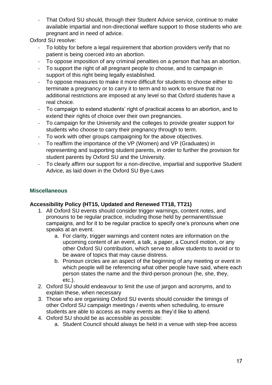That Oxford SU should, through their Student Advice service, continue to make available impartial and non-directional welfare support to those students who are pregnant and in need of advice.

Oxford SU resolve:

- To lobby for before a legal requirement that abortion providers verify that no patient is being coerced into an abortion.
- To oppose imposition of any criminal penalties on a person that has an abortion.
- To support the right of all pregnant people to choose, and to campaign in support of this right being legally established.
- To oppose measures to make it more difficult for students to choose either to terminate a pregnancy or to carry it to term and to work to ensure that no additional restrictions are imposed at any level so that Oxford students have a real choice.
- To campaign to extend students' right of practical access to an abortion, and to extend their rights of choice over their own pregnancies.
- To campaign for the University and the colleges to provide greater support for students who choose to carry their pregnancy through to term.
- To work with other groups campaigning for the above objectives.
- To reaffirm the importance of the VP (Women) and VP (Graduates) in representing and supporting student parents, in order to further the provision for student parents by Oxford SU and the University.
- To clearly affirm our support for a non-directive, impartial and supportive Student Advice, as laid down in the Oxford SU Bye-Laws

## <span id="page-16-0"></span>**Miscellaneous**

## <span id="page-16-1"></span>**Accessibility Policy (HT15, Updated and Renewed TT18, TT21)**

- 1. All Oxford SU events should consider trigger warnings, content notes, and pronouns to be regular practice, including those held by permanent/issue campaigns, and for it to be regular practice to specify one's pronouns when one speaks at an event.
	- a. For clarity, trigger warnings and content notes are information on the upcoming content of an event, a talk, a paper, a Council motion, or any other Oxford SU contribution, which serve to allow students to avoid or to be aware of topics that may cause distress.
	- b. Pronoun circles are an aspect of the beginning of any meeting or event in which people will be referencing what other people have said, where each person states the name and the third-person pronoun (he, she, they, etc.).
- 2. Oxford SU should endeavour to limit the use of jargon and acronyms, and to explain these, when necessary
- 3. Those who are organising Oxford SU events should consider the timings of other Oxford SU campaign meetings / events when scheduling, to ensure students are able to access as many events as they'd like to attend.
- 4. Oxford SU should be as accessible as possible:
	- a. Student Council should always be held in a venue with step-free access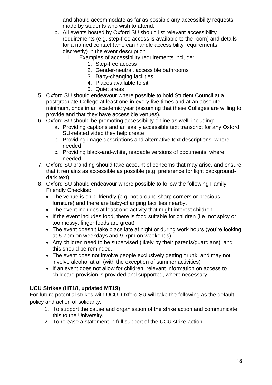and should accommodate as far as possible any accessibility requests made by students who wish to attend.

- b. All events hosted by Oxford SU should list relevant accessibility requirements (e.g. step-free access is available to the room) and details for a named contact (who can handle accessibility requirements discreetly) in the event description
	- i. Examples of accessibility requirements include:
		- 1. Step-free access
		- 2. Gender-neutral, accessible bathrooms
		- 3. Baby-changing facilities
		- 4. Places available to sit
		- 5. Quiet areas
- 5. Oxford SU should endeavour where possible to hold Student Council at a postgraduate College at least one in every five times and at an absolute minimum, once in an academic year (assuming that these Colleges are willing to provide and that they have accessible venues).
- 6. Oxford SU should be promoting accessibility online as well, including:
	- a. Providing captions and an easily accessible text transcript for any Oxford SU-related video they help create
	- b. Providing image descriptions and alternative text descriptions, where needed
	- c. Providing black-and-white, readable versions of documents, where needed
- 7. Oxford SU branding should take account of concerns that may arise, and ensure that it remains as accessible as possible (e.g. preference for light backgrounddark text)
- 8. Oxford SU should endeavour where possible to follow the following Family Friendly Checklist:
	- The venue is child-friendly (e.g. not around sharp corners or precious furniture) and there are baby-changing facilities nearby.
	- The event includes at least one activity that might interest children
	- If the event includes food, there is food suitable for children (i.e. not spicy or too messy; finger foods are great)
	- The event doesn't take place late at night or during work hours (you're looking at 5-7pm on weekdays and 9-7pm on weekends)
	- Any children need to be supervised (likely by their parents/guardians), and this should be reminded.
	- The event does not involve people exclusively getting drunk, and may not involve alcohol at all (with the exception of summer activities)
	- If an event does not allow for children, relevant information on access to childcare provision is provided and supported, where necessary.

## <span id="page-17-0"></span>**UCU Strikes (HT18, updated MT19)**

For future potential strikes with UCU, Oxford SU will take the following as the default policy and action of solidarity:

- 1. To support the cause and organisation of the strike action and communicate this to the University.
- 2. To release a statement in full support of the UCU strike action.